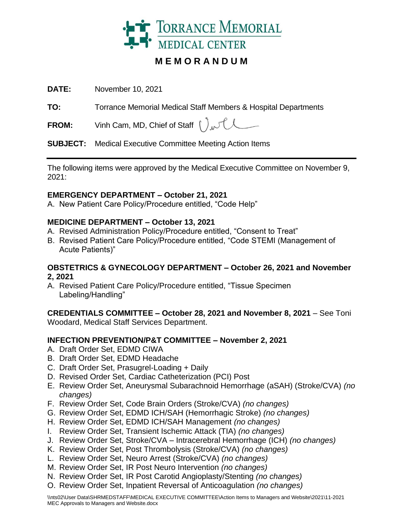

# **M E M O R A N D U M**

**DATE:** November 10, 2021

**TO:** Torrance Memorial Medical Staff Members & Hospital Departments

**FROM:** Vinh Cam, MD, Chief of Staff  $\int$ 

**SUBJECT:** Medical Executive Committee Meeting Action Items

The following items were approved by the Medical Executive Committee on November 9, 2021:

## **EMERGENCY DEPARTMENT – October 21, 2021**

A. New Patient Care Policy/Procedure entitled, "Code Help"

## **MEDICINE DEPARTMENT – October 13, 2021**

- A. Revised Administration Policy/Procedure entitled, "Consent to Treat"
- B. Revised Patient Care Policy/Procedure entitled, "Code STEMI (Management of Acute Patients)"

### **OBSTETRICS & GYNECOLOGY DEPARTMENT – October 26, 2021 and November 2, 2021**

A. Revised Patient Care Policy/Procedure entitled, "Tissue Specimen Labeling/Handling"

**CREDENTIALS COMMITTEE – October 28, 2021 and November 8, 2021** – See Toni Woodard, Medical Staff Services Department.

## **INFECTION PREVENTION/P&T COMMITTEE – November 2, 2021**

- A. Draft Order Set, EDMD CIWA
- B. Draft Order Set, EDMD Headache
- C. Draft Order Set, Prasugrel-Loading + Daily
- D. Revised Order Set, Cardiac Catheterization (PCI) Post
- E. Review Order Set, Aneurysmal Subarachnoid Hemorrhage (aSAH) (Stroke/CVA) *(no changes)*
- F. Review Order Set, Code Brain Orders (Stroke/CVA) *(no changes)*
- G. Review Order Set, EDMD ICH/SAH (Hemorrhagic Stroke) *(no changes)*
- H. Review Order Set, EDMD ICH/SAH Management *(no changes)*
- I. Review Order Set, Transient Ischemic Attack (TIA) *(no changes)*
- J. Review Order Set, Stroke/CVA Intracerebral Hemorrhage (ICH) *(no changes)*
- K. Review Order Set, Post Thrombolysis (Stroke/CVA) *(no changes)*
- L. Review Order Set, Neuro Arrest (Stroke/CVA) *(no changes)*
- M. Review Order Set, IR Post Neuro Intervention *(no changes)*
- N. Review Order Set, IR Post Carotid Angioplasty/Stenting *(no changes)*
- O. Review Order Set, Inpatient Reversal of Anticoagulation *(no changes)*